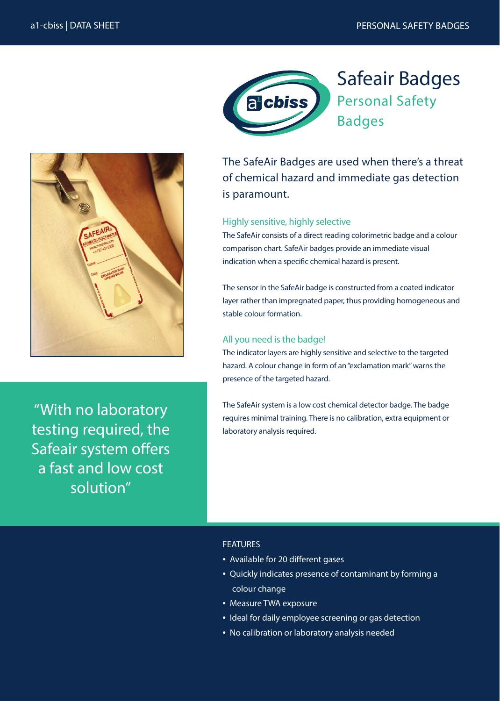

''With no laboratory testing required, the Safeair system offers a fast and low cost solution"



Safeair Badges Personal Safety

The SafeAir Badges are used when there's a threat of chemical hazard and immediate gas detection is paramount.

### Highly sensitive, highly selective

The SafeAir consists of a direct reading colorimetric badge and a colour comparison chart. SafeAir badges provide an immediate visual indication when a specific chemical hazard is present.

The sensor in the SafeAir badge is constructed from a coated indicator layer rather than impregnated paper, thus providing homogeneous and stable colour formation.

## All you need is the badge!

The indicator layers are highly sensitive and selective to the targeted hazard. A colour change in form of an "exclamation mark" warns the presence of the targeted hazard.

The SafeAir system is a low cost chemical detector badge. The badge requires minimal training. There is no calibration, extra equipment or laboratory analysis required.

### FEATURES

- Available for 20 different gases
- Quickly indicates presence of contaminant by forming a colour change
- Measure TWA exposure
- Ideal for daily employee screening or gas detection
- No calibration or laboratory analysis needed